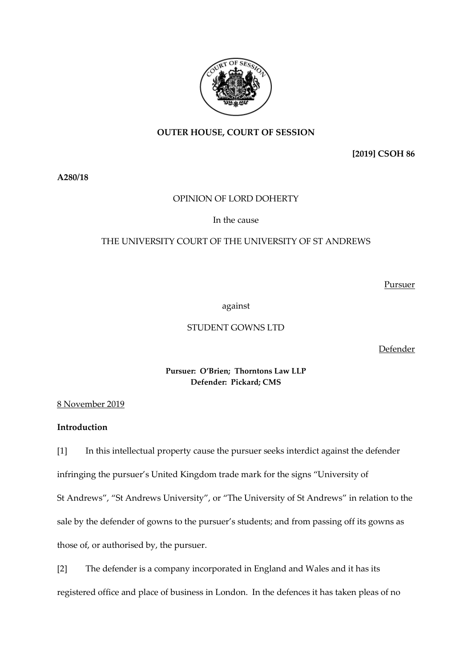

# **OUTER HOUSE, COURT OF SESSION**

**[2019] CSOH 86**

**A280/18** 

## OPINION OF LORD DOHERTY

In the cause

# THE UNIVERSITY COURT OF THE UNIVERSITY OF ST ANDREWS

Pursuer

against

## STUDENT GOWNS LTD

Defender

**Pursuer: O'Brien; Thorntons Law LLP Defender: Pickard; CMS** 

8 November 2019

# **Introduction**

[1] In this intellectual property cause the pursuer seeks interdict against the defender infringing the pursuer's United Kingdom trade mark for the signs "University of St Andrews", "St Andrews University", or "The University of St Andrews" in relation to the sale by the defender of gowns to the pursuer's students; and from passing off its gowns as those of, or authorised by, the pursuer.

[2] The defender is a company incorporated in England and Wales and it has its registered office and place of business in London. In the defences it has taken pleas of no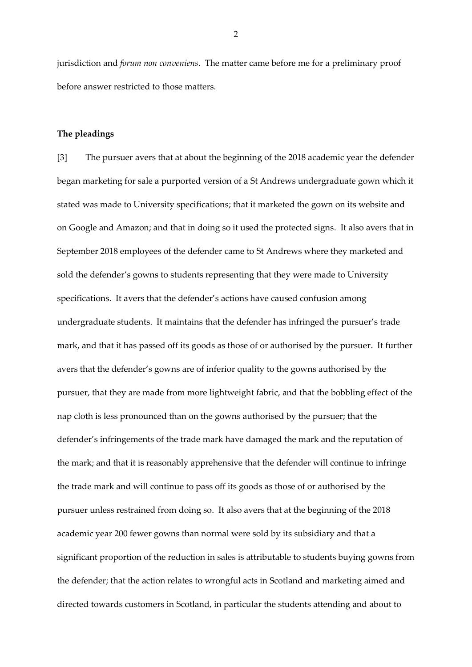jurisdiction and *forum non conveniens*. The matter came before me for a preliminary proof before answer restricted to those matters.

#### **The pleadings**

[3] The pursuer avers that at about the beginning of the 2018 academic year the defender began marketing for sale a purported version of a St Andrews undergraduate gown which it stated was made to University specifications; that it marketed the gown on its website and on Google and Amazon; and that in doing so it used the protected signs. It also avers that in September 2018 employees of the defender came to St Andrews where they marketed and sold the defender's gowns to students representing that they were made to University specifications. It avers that the defender's actions have caused confusion among undergraduate students. It maintains that the defender has infringed the pursuer's trade mark, and that it has passed off its goods as those of or authorised by the pursuer. It further avers that the defender's gowns are of inferior quality to the gowns authorised by the pursuer, that they are made from more lightweight fabric, and that the bobbling effect of the nap cloth is less pronounced than on the gowns authorised by the pursuer; that the defender's infringements of the trade mark have damaged the mark and the reputation of the mark; and that it is reasonably apprehensive that the defender will continue to infringe the trade mark and will continue to pass off its goods as those of or authorised by the pursuer unless restrained from doing so. It also avers that at the beginning of the 2018 academic year 200 fewer gowns than normal were sold by its subsidiary and that a significant proportion of the reduction in sales is attributable to students buying gowns from the defender; that the action relates to wrongful acts in Scotland and marketing aimed and directed towards customers in Scotland, in particular the students attending and about to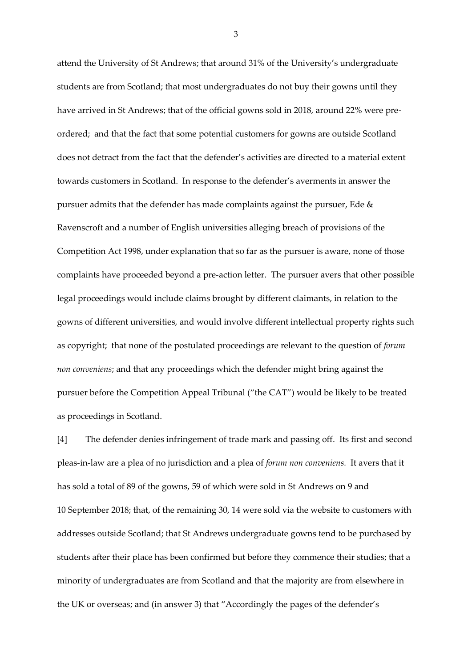attend the University of St Andrews; that around 31% of the University's undergraduate students are from Scotland; that most undergraduates do not buy their gowns until they have arrived in St Andrews; that of the official gowns sold in 2018, around 22% were preordered; and that the fact that some potential customers for gowns are outside Scotland does not detract from the fact that the defender's activities are directed to a material extent towards customers in Scotland. In response to the defender's averments in answer the pursuer admits that the defender has made complaints against the pursuer, Ede & Ravenscroft and a number of English universities alleging breach of provisions of the Competition Act 1998, under explanation that so far as the pursuer is aware, none of those complaints have proceeded beyond a pre-action letter. The pursuer avers that other possible legal proceedings would include claims brought by different claimants, in relation to the gowns of different universities, and would involve different intellectual property rights such as copyright; that none of the postulated proceedings are relevant to the question of *forum non conveniens*; and that any proceedings which the defender might bring against the pursuer before the Competition Appeal Tribunal ("the CAT") would be likely to be treated as proceedings in Scotland.

[4] The defender denies infringement of trade mark and passing off. Its first and second pleas-in-law are a plea of no jurisdiction and a plea of *forum non conveniens.* It avers that it has sold a total of 89 of the gowns, 59 of which were sold in St Andrews on 9 and 10 September 2018; that, of the remaining 30, 14 were sold via the website to customers with addresses outside Scotland; that St Andrews undergraduate gowns tend to be purchased by students after their place has been confirmed but before they commence their studies; that a minority of undergraduates are from Scotland and that the majority are from elsewhere in the UK or overseas; and (in answer 3) that "Accordingly the pages of the defender's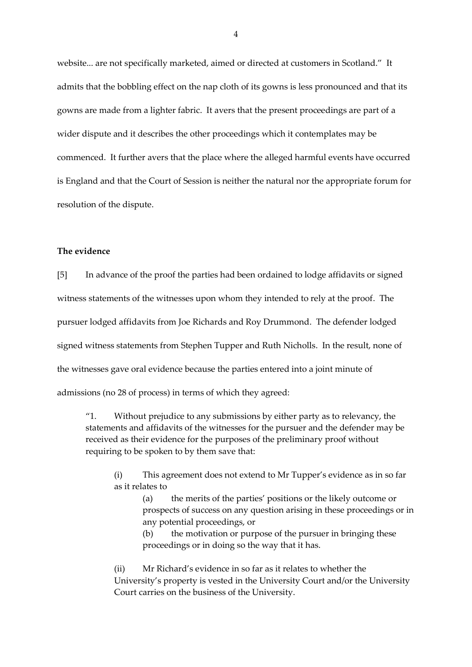website... are not specifically marketed, aimed or directed at customers in Scotland." It admits that the bobbling effect on the nap cloth of its gowns is less pronounced and that its gowns are made from a lighter fabric. It avers that the present proceedings are part of a wider dispute and it describes the other proceedings which it contemplates may be commenced. It further avers that the place where the alleged harmful events have occurred is England and that the Court of Session is neither the natural nor the appropriate forum for resolution of the dispute.

## **The evidence**

[5] In advance of the proof the parties had been ordained to lodge affidavits or signed witness statements of the witnesses upon whom they intended to rely at the proof. The pursuer lodged affidavits from Joe Richards and Roy Drummond. The defender lodged signed witness statements from Stephen Tupper and Ruth Nicholls. In the result, none of the witnesses gave oral evidence because the parties entered into a joint minute of admissions (no 28 of process) in terms of which they agreed:

"1. Without prejudice to any submissions by either party as to relevancy, the statements and affidavits of the witnesses for the pursuer and the defender may be received as their evidence for the purposes of the preliminary proof without requiring to be spoken to by them save that:

- (i) This agreement does not extend to Mr Tupper's evidence as in so far as it relates to
	- (a) the merits of the parties' positions or the likely outcome or prospects of success on any question arising in these proceedings or in any potential proceedings, or
	- (b) the motivation or purpose of the pursuer in bringing these proceedings or in doing so the way that it has.
- (ii) Mr Richard's evidence in so far as it relates to whether the University's property is vested in the University Court and/or the University Court carries on the business of the University.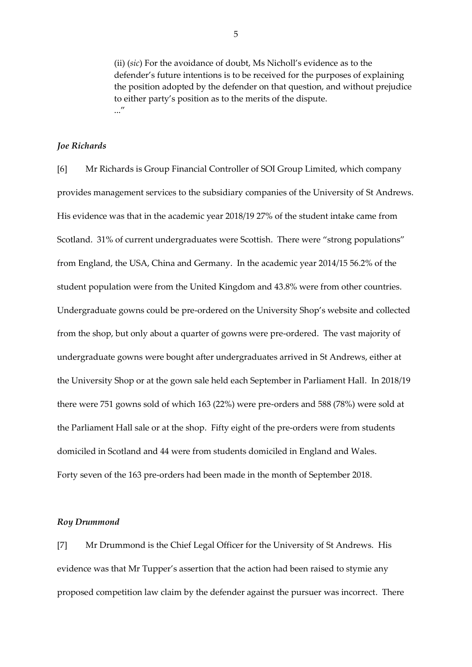(ii) (*sic*) For the avoidance of doubt, Ms Nicholl's evidence as to the defender's future intentions is to be received for the purposes of explaining the position adopted by the defender on that question, and without prejudice to either party's position as to the merits of the dispute. ..."

### *Joe Richards*

[6] Mr Richards is Group Financial Controller of SOI Group Limited, which company provides management services to the subsidiary companies of the University of St Andrews. His evidence was that in the academic year 2018/19 27% of the student intake came from Scotland. 31% of current undergraduates were Scottish. There were "strong populations" from England, the USA, China and Germany. In the academic year 2014/15 56.2% of the student population were from the United Kingdom and 43.8% were from other countries. Undergraduate gowns could be pre-ordered on the University Shop's website and collected from the shop, but only about a quarter of gowns were pre-ordered. The vast majority of undergraduate gowns were bought after undergraduates arrived in St Andrews, either at the University Shop or at the gown sale held each September in Parliament Hall. In 2018/19 there were 751 gowns sold of which 163 (22%) were pre-orders and 588 (78%) were sold at the Parliament Hall sale or at the shop. Fifty eight of the pre-orders were from students domiciled in Scotland and 44 were from students domiciled in England and Wales. Forty seven of the 163 pre-orders had been made in the month of September 2018.

#### *Roy Drummond*

[7] Mr Drummond is the Chief Legal Officer for the University of St Andrews. His evidence was that Mr Tupper's assertion that the action had been raised to stymie any proposed competition law claim by the defender against the pursuer was incorrect. There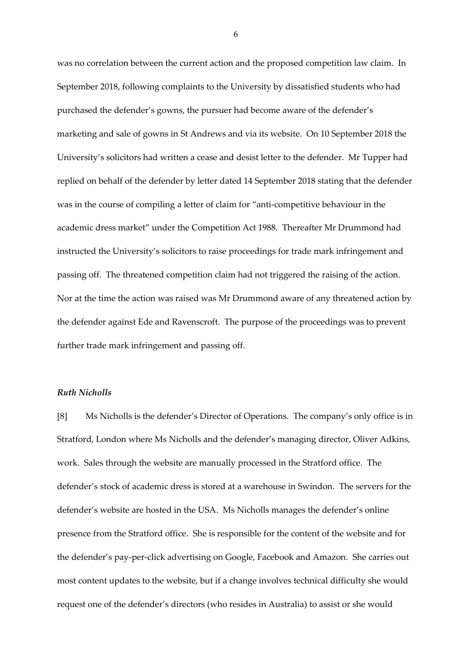was no correlation between the current action and the proposed competition law claim. In September 2018, following complaints to the University by dissatisfied students who had purchased the defender's gowns, the pursuer had become aware of the defender's marketing and sale of gowns in St Andrews and via its website. On 10 September 2018 the University's solicitors had written a cease and desist letter to the defender. Mr Tupper had replied on behalf of the defender by letter dated 14 September 2018 stating that the defender was in the course of compiling a letter of claim for "anti-competitive behaviour in the academic dress market" under the Competition Act 1988. Thereafter Mr Drummond had instructed the University's solicitors to raise proceedings for trade mark infringement and passing off. The threatened competition claim had not triggered the raising of the action. Nor at the time the action was raised was Mr Drummond aware of any threatened action by the defender against Ede and Ravenscroft. The purpose of the proceedings was to prevent further trade mark infringement and passing off.

#### *Ruth Nicholls*

[8] Ms Nicholls is the defender's Director of Operations. The company's only office is in Stratford, London where Ms Nicholls and the defender's managing director, Oliver Adkins, work. Sales through the website are manually processed in the Stratford office. The defender's stock of academic dress is stored at a warehouse in Swindon. The servers for the defender's website are hosted in the USA. Ms Nicholls manages the defender's online presence from the Stratford office. She is responsible for the content of the website and for the defender's pay-per-click advertising on Google, Facebook and Amazon. She carries out most content updates to the website, but if a change involves technical difficulty she would request one of the defender's directors (who resides in Australia) to assist or she would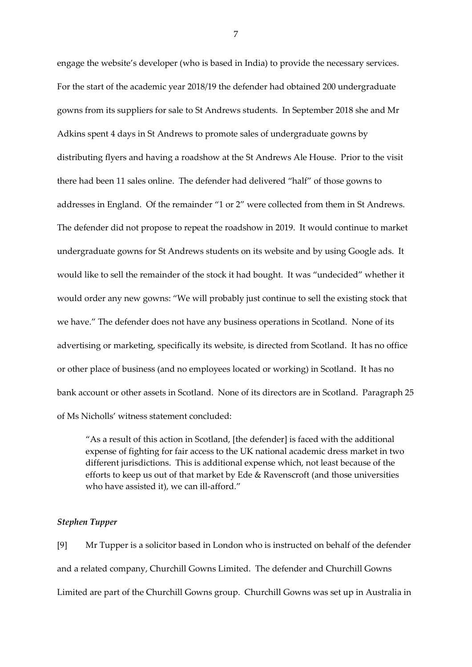engage the website's developer (who is based in India) to provide the necessary services. For the start of the academic year 2018/19 the defender had obtained 200 undergraduate gowns from its suppliers for sale to St Andrews students. In September 2018 she and Mr Adkins spent 4 days in St Andrews to promote sales of undergraduate gowns by distributing flyers and having a roadshow at the St Andrews Ale House. Prior to the visit there had been 11 sales online. The defender had delivered "half" of those gowns to addresses in England. Of the remainder "1 or 2" were collected from them in St Andrews. The defender did not propose to repeat the roadshow in 2019. It would continue to market undergraduate gowns for St Andrews students on its website and by using Google ads. It would like to sell the remainder of the stock it had bought. It was "undecided" whether it would order any new gowns: "We will probably just continue to sell the existing stock that we have." The defender does not have any business operations in Scotland. None of its advertising or marketing, specifically its website, is directed from Scotland. It has no office or other place of business (and no employees located or working) in Scotland. It has no bank account or other assets in Scotland. None of its directors are in Scotland. Paragraph 25 of Ms Nicholls' witness statement concluded:

"As a result of this action in Scotland, [the defender] is faced with the additional expense of fighting for fair access to the UK national academic dress market in two different jurisdictions. This is additional expense which, not least because of the efforts to keep us out of that market by Ede & Ravenscroft (and those universities who have assisted it), we can ill-afford."

## *Stephen Tupper*

[9] Mr Tupper is a solicitor based in London who is instructed on behalf of the defender and a related company, Churchill Gowns Limited. The defender and Churchill Gowns Limited are part of the Churchill Gowns group. Churchill Gowns was set up in Australia in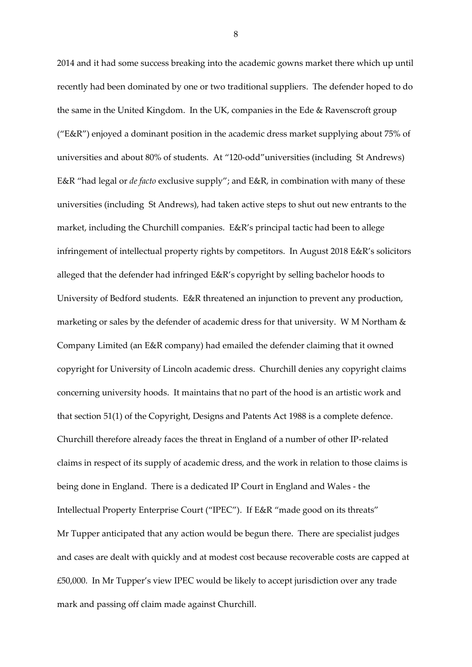2014 and it had some success breaking into the academic gowns market there which up until recently had been dominated by one or two traditional suppliers. The defender hoped to do the same in the United Kingdom. In the UK, companies in the Ede & Ravenscroft group ("E&R") enjoyed a dominant position in the academic dress market supplying about 75% of universities and about 80% of students. At "120-odd"universities (including St Andrews) E&R "had legal or *de facto* exclusive supply"; and E&R, in combination with many of these universities (including St Andrews), had taken active steps to shut out new entrants to the market, including the Churchill companies. E&R's principal tactic had been to allege infringement of intellectual property rights by competitors. In August 2018 E&R's solicitors alleged that the defender had infringed E&R's copyright by selling bachelor hoods to University of Bedford students. E&R threatened an injunction to prevent any production, marketing or sales by the defender of academic dress for that university. W M Northam & Company Limited (an E&R company) had emailed the defender claiming that it owned copyright for University of Lincoln academic dress. Churchill denies any copyright claims concerning university hoods. It maintains that no part of the hood is an artistic work and that section 51(1) of the Copyright, Designs and Patents Act 1988 is a complete defence. Churchill therefore already faces the threat in England of a number of other IP-related claims in respect of its supply of academic dress, and the work in relation to those claims is being done in England. There is a dedicated IP Court in England and Wales - the Intellectual Property Enterprise Court ("IPEC"). If E&R "made good on its threats" Mr Tupper anticipated that any action would be begun there. There are specialist judges and cases are dealt with quickly and at modest cost because recoverable costs are capped at £50,000. In Mr Tupper's view IPEC would be likely to accept jurisdiction over any trade mark and passing off claim made against Churchill.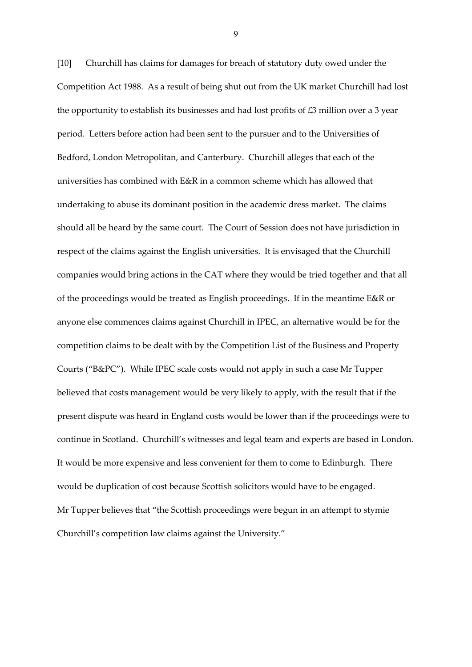[10] Churchill has claims for damages for breach of statutory duty owed under the Competition Act 1988. As a result of being shut out from the UK market Churchill had lost the opportunity to establish its businesses and had lost profits of £3 million over a 3 year period. Letters before action had been sent to the pursuer and to the Universities of Bedford, London Metropolitan, and Canterbury. Churchill alleges that each of the universities has combined with E&R in a common scheme which has allowed that undertaking to abuse its dominant position in the academic dress market. The claims should all be heard by the same court. The Court of Session does not have jurisdiction in respect of the claims against the English universities. It is envisaged that the Churchill companies would bring actions in the CAT where they would be tried together and that all of the proceedings would be treated as English proceedings. If in the meantime E&R or anyone else commences claims against Churchill in IPEC, an alternative would be for the competition claims to be dealt with by the Competition List of the Business and Property Courts ("B&PC"). While IPEC scale costs would not apply in such a case Mr Tupper believed that costs management would be very likely to apply, with the result that if the present dispute was heard in England costs would be lower than if the proceedings were to continue in Scotland. Churchill's witnesses and legal team and experts are based in London. It would be more expensive and less convenient for them to come to Edinburgh. There would be duplication of cost because Scottish solicitors would have to be engaged. Mr Tupper believes that "the Scottish proceedings were begun in an attempt to stymie Churchill's competition law claims against the University."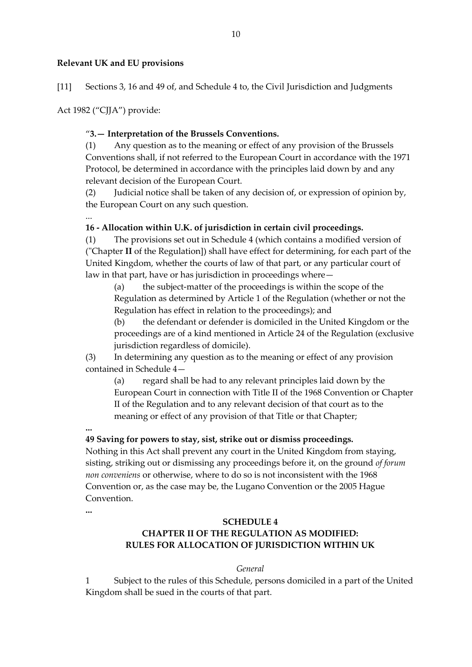# **Relevant UK and EU provisions**

[11] Sections 3, 16 and 49 of, and Schedule 4 to, the Civil Jurisdiction and Judgments

Act 1982 ("CJJA") provide:

# "**3.— Interpretation of the Brussels Conventions.**

(1) Any question as to the meaning or effect of any provision of the Brussels Conventions shall, if not referred to the European Court in accordance with the 1971 Protocol, be determined in accordance with the principles laid down by and any relevant decision of the European Court.

(2) Judicial notice shall be taken of any decision of, or expression of opinion by, the European Court on any such question.

#### ... **16 - Allocation within U.K. of jurisdiction in certain civil proceedings.**

(1) The provisions set out in Schedule 4 (which contains a modified version of ("Chapter **II** of the Regulation]) shall have effect for determining, for each part of the United Kingdom, whether the courts of law of that part, or any particular court of law in that part, have or has jurisdiction in proceedings where—

(a) the subject-matter of the proceedings is within the scope of the Regulation as determined by Article 1 of the Regulation (whether or not the Regulation has effect in relation to the proceedings); and

(b) the defendant or defender is domiciled in the United Kingdom or the proceedings are of a kind mentioned in Article 24 of the Regulation (exclusive jurisdiction regardless of domicile).

(3) In determining any question as to the meaning or effect of any provision contained in Schedule 4—

(a) regard shall be had to any relevant principles laid down by the European Court in connection with Title II of the 1968 Convention or Chapter II of the Regulation and to any relevant decision of that court as to the meaning or effect of any provision of that Title or that Chapter;

**...**

# **49 Saving for powers to stay, sist, strike out or dismiss proceedings.**

Nothing in this Act shall prevent any court in the United Kingdom from staying, sisting, striking out or dismissing any proceedings before it, on the ground *of forum non conveniens* or otherwise, where to do so is not inconsistent with the 1968 Convention or, as the case may be, the Lugano Convention or the 2005 Hague Convention.

**...**

# **SCHEDULE 4 CHAPTER II OF THE REGULATION AS MODIFIED: RULES FOR ALLOCATION OF JURISDICTION WITHIN UK**

# *General*

1 Subject to the rules of this Schedule, persons domiciled in a part of the United Kingdom shall be sued in the courts of that part.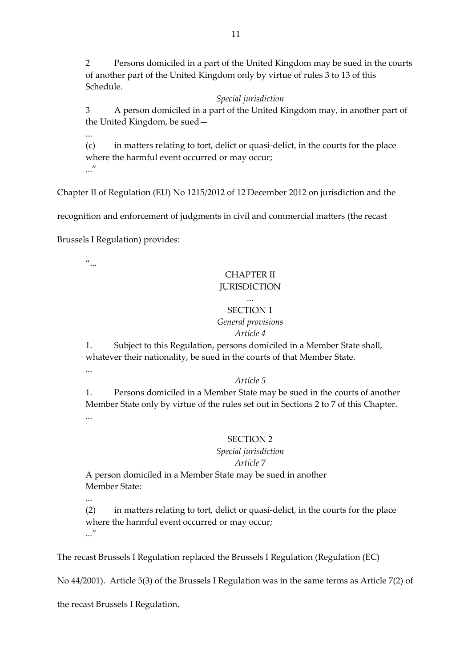2 Persons domiciled in a part of the United Kingdom may be sued in the courts of another part of the United Kingdom only by virtue of rules 3 to 13 of this Schedule.

## *Special jurisdiction*

3 A person domiciled in a part of the United Kingdom may, in another part of the United Kingdom, be sued—

...

(c) in matters relating to tort, delict or quasi-delict, in the courts for the place where the harmful event occurred or may occur; ..."

Chapter II of Regulation (EU) No 1215/2012 of 12 December 2012 on jurisdiction and the

recognition and enforcement of judgments in civil and commercial matters (the recast

Brussels I Regulation) provides:

 $\mathbf{u}_{\ldots}$ 

# CHAPTER II JURISDICTION

## ... SECTION 1

# *General provisions*

# *Article 4*

1. Subject to this Regulation, persons domiciled in a Member State shall, whatever their nationality, be sued in the courts of that Member State.

...

...

# *Article 5*

1. Persons domiciled in a Member State may be sued in the courts of another Member State only by virtue of the rules set out in Sections 2 to 7 of this Chapter. ...

# SECTION 2

#### *Special jurisdiction*

#### *Article* 7

A person domiciled in a Member State may be sued in another Member State:

(2) in matters relating to tort, delict or quasi-delict, in the courts for the place where the harmful event occurred or may occur; ..."

The recast Brussels I Regulation replaced the Brussels I Regulation (Regulation (EC)

No 44/2001). Article 5(3) of the Brussels I Regulation was in the same terms as Article 7(2) of

the recast Brussels I Regulation.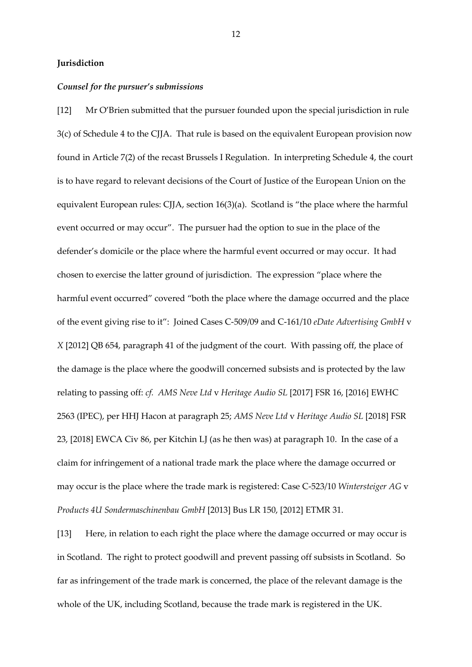## **Jurisdiction**

#### *Counsel for the pursuer's submissions*

[12] Mr O'Brien submitted that the pursuer founded upon the special jurisdiction in rule 3(c) of Schedule 4 to the CJJA. That rule is based on the equivalent European provision now found in Article 7(2) of the recast Brussels I Regulation. In interpreting Schedule 4, the court is to have regard to relevant decisions of the Court of Justice of the European Union on the equivalent European rules: CJJA, section 16(3)(a). Scotland is "the place where the harmful event occurred or may occur". The pursuer had the option to sue in the place of the defender's domicile or the place where the harmful event occurred or may occur. It had chosen to exercise the latter ground of jurisdiction. The expression "place where the harmful event occurred" covered "both the place where the damage occurred and the place of the event giving rise to it": Joined Cases C-509/09 and C-161/10 *eDate Advertising GmbH* v *X* [2012] QB 654, paragraph 41 of the judgment of the court. With passing off, the place of the damage is the place where the goodwill concerned subsists and is protected by the law relating to passing off: *cf. AMS Neve Ltd* v *Heritage Audio SL* [2017] FSR 16, [2016] EWHC 2563 (IPEC), per HHJ Hacon at paragraph 25; *AMS Neve Ltd* v *Heritage Audio SL* [2018] FSR 23, [2018] EWCA Civ 86, per Kitchin LJ (as he then was) at paragraph 10. In the case of a claim for infringement of a national trade mark the place where the damage occurred or may occur is the place where the trade mark is registered: Case C-523/10 *Wintersteiger AG* v *Products 4U Sondermaschinenbau GmbH* [2013] Bus LR 150, [2012] ETMR 31.

[13] Here, in relation to each right the place where the damage occurred or may occur is in Scotland. The right to protect goodwill and prevent passing off subsists in Scotland. So far as infringement of the trade mark is concerned, the place of the relevant damage is the whole of the UK, including Scotland, because the trade mark is registered in the UK.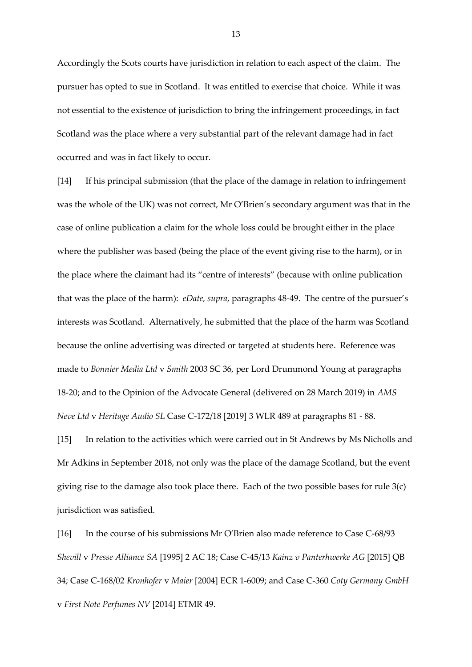Accordingly the Scots courts have jurisdiction in relation to each aspect of the claim. The pursuer has opted to sue in Scotland. It was entitled to exercise that choice. While it was not essential to the existence of jurisdiction to bring the infringement proceedings, in fact Scotland was the place where a very substantial part of the relevant damage had in fact occurred and was in fact likely to occur.

[14] If his principal submission (that the place of the damage in relation to infringement was the whole of the UK) was not correct, Mr O'Brien's secondary argument was that in the case of online publication a claim for the whole loss could be brought either in the place where the publisher was based (being the place of the event giving rise to the harm), or in the place where the claimant had its "centre of interests" (because with online publication that was the place of the harm): *eDate, supra*, paragraphs 48-49. The centre of the pursuer's interests was Scotland. Alternatively, he submitted that the place of the harm was Scotland because the online advertising was directed or targeted at students here. Reference was made to *Bonnier Media Ltd* v *Smith* 2003 SC 36, per Lord Drummond Young at paragraphs 18-20; and to the Opinion of the Advocate General (delivered on 28 March 2019) in *AMS Neve Ltd* v *Heritage Audio SL* Case C-172/18 [2019] 3 WLR 489 at paragraphs 81 - 88.

[15] In relation to the activities which were carried out in St Andrews by Ms Nicholls and Mr Adkins in September 2018, not only was the place of the damage Scotland, but the event giving rise to the damage also took place there. Each of the two possible bases for rule 3(c) jurisdiction was satisfied.

[16] In the course of his submissions Mr O'Brien also made reference to Case C-68/93 *Shevill* v *Presse Alliance SA* [1995] 2 AC 18; Case C-45/13 *Kainz v Panterhwerke AG* [2015] QB 34; Case C-168/02 *Kronhofer* v *Maier* [2004] ECR 1-6009; and Case C-360 *Coty Germany GmbH*  v *First Note Perfumes NV* [2014] ETMR 49.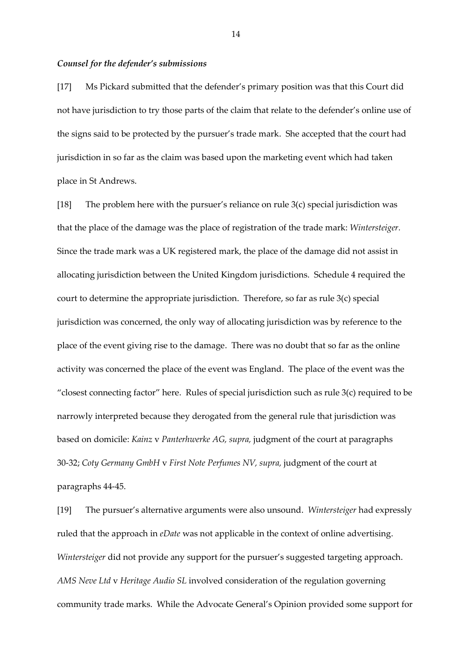#### *Counsel for the defender's submissions*

[17] Ms Pickard submitted that the defender's primary position was that this Court did not have jurisdiction to try those parts of the claim that relate to the defender's online use of the signs said to be protected by the pursuer's trade mark. She accepted that the court had jurisdiction in so far as the claim was based upon the marketing event which had taken place in St Andrews.

[18] The problem here with the pursuer's reliance on rule 3(c) special jurisdiction was that the place of the damage was the place of registration of the trade mark: *Wintersteiger.*  Since the trade mark was a UK registered mark, the place of the damage did not assist in allocating jurisdiction between the United Kingdom jurisdictions. Schedule 4 required the court to determine the appropriate jurisdiction. Therefore, so far as rule 3(c) special jurisdiction was concerned, the only way of allocating jurisdiction was by reference to the place of the event giving rise to the damage. There was no doubt that so far as the online activity was concerned the place of the event was England. The place of the event was the "closest connecting factor" here. Rules of special jurisdiction such as rule 3(c) required to be narrowly interpreted because they derogated from the general rule that jurisdiction was based on domicile: *Kainz* v *Panterhwerke AG, supra,* judgment of the court at paragraphs 30-32; *Coty Germany GmbH* v *First Note Perfumes NV, supra,* judgment of the court at paragraphs 44-45.

[19] The pursuer's alternative arguments were also unsound. *Wintersteiger* had expressly ruled that the approach in *eDate* was not applicable in the context of online advertising. *Wintersteiger* did not provide any support for the pursuer's suggested targeting approach. *AMS Neve Ltd* v *Heritage Audio SL* involved consideration of the regulation governing community trade marks. While the Advocate General's Opinion provided some support for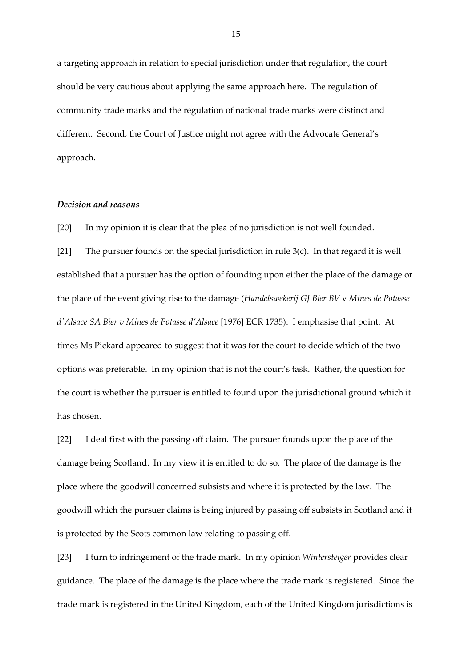a targeting approach in relation to special jurisdiction under that regulation, the court should be very cautious about applying the same approach here. The regulation of community trade marks and the regulation of national trade marks were distinct and different. Second, the Court of Justice might not agree with the Advocate General's approach.

#### *Decision and reasons*

[20] In my opinion it is clear that the plea of no jurisdiction is not well founded.

[21] The pursuer founds on the special jurisdiction in rule 3(c). In that regard it is well established that a pursuer has the option of founding upon either the place of the damage or the place of the event giving rise to the damage (*Handelswekerij GJ Bier BV* v *Mines de Potasse d'Alsace SA Bier v Mines de Potasse d'Alsace* [1976] ECR 1735). I emphasise that point. At times Ms Pickard appeared to suggest that it was for the court to decide which of the two options was preferable. In my opinion that is not the court's task. Rather, the question for the court is whether the pursuer is entitled to found upon the jurisdictional ground which it has chosen.

[22] I deal first with the passing off claim. The pursuer founds upon the place of the damage being Scotland. In my view it is entitled to do so. The place of the damage is the place where the goodwill concerned subsists and where it is protected by the law. The goodwill which the pursuer claims is being injured by passing off subsists in Scotland and it is protected by the Scots common law relating to passing off.

[23] I turn to infringement of the trade mark. In my opinion *Wintersteiger* provides clear guidance. The place of the damage is the place where the trade mark is registered. Since the trade mark is registered in the United Kingdom, each of the United Kingdom jurisdictions is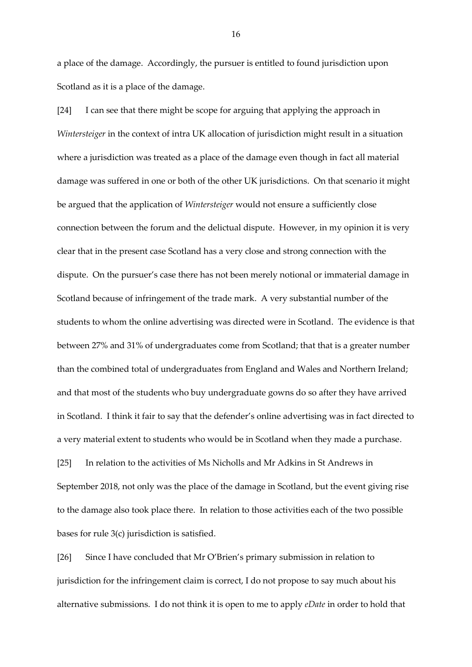a place of the damage. Accordingly, the pursuer is entitled to found jurisdiction upon Scotland as it is a place of the damage.

[24] I can see that there might be scope for arguing that applying the approach in *Wintersteiger* in the context of intra UK allocation of jurisdiction might result in a situation where a jurisdiction was treated as a place of the damage even though in fact all material damage was suffered in one or both of the other UK jurisdictions. On that scenario it might be argued that the application of *Wintersteiger* would not ensure a sufficiently close connection between the forum and the delictual dispute. However, in my opinion it is very clear that in the present case Scotland has a very close and strong connection with the dispute. On the pursuer's case there has not been merely notional or immaterial damage in Scotland because of infringement of the trade mark. A very substantial number of the students to whom the online advertising was directed were in Scotland. The evidence is that between 27% and 31% of undergraduates come from Scotland; that that is a greater number than the combined total of undergraduates from England and Wales and Northern Ireland; and that most of the students who buy undergraduate gowns do so after they have arrived in Scotland. I think it fair to say that the defender's online advertising was in fact directed to a very material extent to students who would be in Scotland when they made a purchase.

[25] In relation to the activities of Ms Nicholls and Mr Adkins in St Andrews in September 2018, not only was the place of the damage in Scotland, but the event giving rise to the damage also took place there. In relation to those activities each of the two possible bases for rule 3(c) jurisdiction is satisfied.

[26] Since I have concluded that Mr O'Brien's primary submission in relation to jurisdiction for the infringement claim is correct, I do not propose to say much about his alternative submissions. I do not think it is open to me to apply *eDate* in order to hold that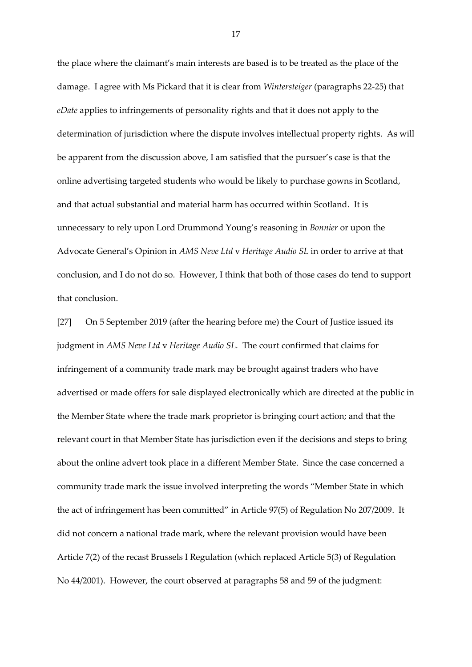the place where the claimant's main interests are based is to be treated as the place of the damage. I agree with Ms Pickard that it is clear from *Wintersteiger* (paragraphs 22-25) that *eDate* applies to infringements of personality rights and that it does not apply to the determination of jurisdiction where the dispute involves intellectual property rights. As will be apparent from the discussion above, I am satisfied that the pursuer's case is that the online advertising targeted students who would be likely to purchase gowns in Scotland, and that actual substantial and material harm has occurred within Scotland. It is unnecessary to rely upon Lord Drummond Young's reasoning in *Bonnier* or upon the Advocate General's Opinion in *AMS Neve Ltd* v *Heritage Audio SL* in order to arrive at that conclusion, and I do not do so. However, I think that both of those cases do tend to support that conclusion.

[27] On 5 September 2019 (after the hearing before me) the Court of Justice issued its judgment in *AMS Neve Ltd* v *Heritage Audio SL.* The court confirmed that claims for infringement of a community trade mark may be brought against traders who have advertised or made offers for sale displayed electronically which are directed at the public in the Member State where the trade mark proprietor is bringing court action; and that the relevant court in that Member State has jurisdiction even if the decisions and steps to bring about the online advert took place in a different Member State. Since the case concerned a community trade mark the issue involved interpreting the words "Member State in which the act of infringement has been committed" in Article 97(5) of Regulation No 207/2009. It did not concern a national trade mark, where the relevant provision would have been Article 7(2) of the recast Brussels I Regulation (which replaced Article 5(3) of Regulation No 44/2001). However, the court observed at paragraphs 58 and 59 of the judgment: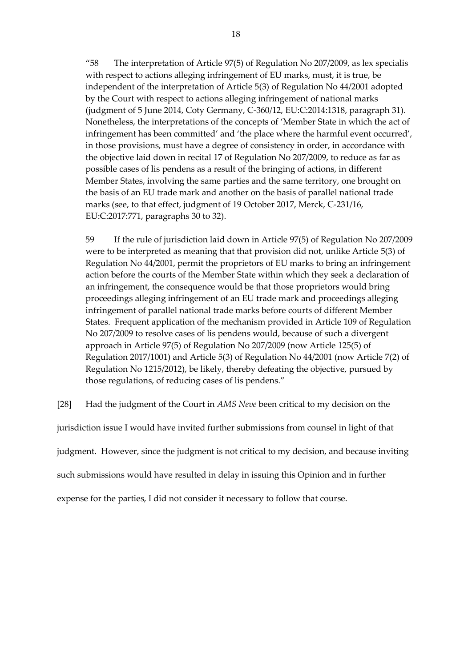"58 The interpretation of Article 97(5) of Regulation No 207/2009, as lex specialis with respect to actions alleging infringement of EU marks, must, it is true, be independent of the interpretation of Article 5(3) of Regulation No 44/2001 adopted by the Court with respect to actions alleging infringement of national marks (judgment of 5 June 2014, Coty Germany, C-360/12, EU:C:2014:1318, paragraph 31). Nonetheless, the interpretations of the concepts of 'Member State in which the act of infringement has been committed' and 'the place where the harmful event occurred', in those provisions, must have a degree of consistency in order, in accordance with the objective laid down in recital 17 of Regulation No 207/2009, to reduce as far as possible cases of lis pendens as a result of the bringing of actions, in different Member States, involving the same parties and the same territory, one brought on the basis of an EU trade mark and another on the basis of parallel national trade marks (see, to that effect, judgment of 19 October 2017, Merck, C-231/16, EU:C:2017:771, paragraphs 30 to 32).

59 If the rule of jurisdiction laid down in Article 97(5) of Regulation No 207/2009 were to be interpreted as meaning that that provision did not, unlike Article 5(3) of Regulation No 44/2001, permit the proprietors of EU marks to bring an infringement action before the courts of the Member State within which they seek a declaration of an infringement, the consequence would be that those proprietors would bring proceedings alleging infringement of an EU trade mark and proceedings alleging infringement of parallel national trade marks before courts of different Member States. Frequent application of the mechanism provided in Article 109 of Regulation No 207/2009 to resolve cases of lis pendens would, because of such a divergent approach in Article 97(5) of Regulation No 207/2009 (now Article 125(5) of Regulation 2017/1001) and Article 5(3) of Regulation No 44/2001 (now Article 7(2) of Regulation No 1215/2012), be likely, thereby defeating the objective, pursued by those regulations, of reducing cases of lis pendens."

[28] Had the judgment of the Court in *AMS Neve* been critical to my decision on the

jurisdiction issue I would have invited further submissions from counsel in light of that

judgment. However, since the judgment is not critical to my decision, and because inviting

such submissions would have resulted in delay in issuing this Opinion and in further

expense for the parties, I did not consider it necessary to follow that course.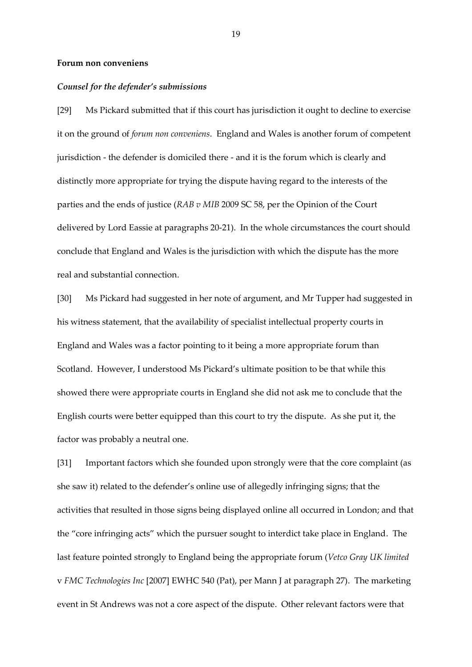#### **Forum non conveniens**

#### *Counsel for the defender's submissions*

[29] Ms Pickard submitted that if this court has jurisdiction it ought to decline to exercise it on the ground of *forum non conveniens*. England and Wales is another forum of competent jurisdiction - the defender is domiciled there - and it is the forum which is clearly and distinctly more appropriate for trying the dispute having regard to the interests of the parties and the ends of justice (*RAB v MIB* 2009 SC 58, per the Opinion of the Court delivered by Lord Eassie at paragraphs 20-21). In the whole circumstances the court should conclude that England and Wales is the jurisdiction with which the dispute has the more real and substantial connection.

[30] Ms Pickard had suggested in her note of argument, and Mr Tupper had suggested in his witness statement, that the availability of specialist intellectual property courts in England and Wales was a factor pointing to it being a more appropriate forum than Scotland. However, I understood Ms Pickard's ultimate position to be that while this showed there were appropriate courts in England she did not ask me to conclude that the English courts were better equipped than this court to try the dispute. As she put it, the factor was probably a neutral one.

[31] Important factors which she founded upon strongly were that the core complaint (as she saw it) related to the defender's online use of allegedly infringing signs; that the activities that resulted in those signs being displayed online all occurred in London; and that the "core infringing acts" which the pursuer sought to interdict take place in England. The last feature pointed strongly to England being the appropriate forum (*Vetco Gray UK limited*  v *FMC Technologies Inc* [2007] EWHC 540 (Pat), per Mann J at paragraph 27). The marketing event in St Andrews was not a core aspect of the dispute. Other relevant factors were that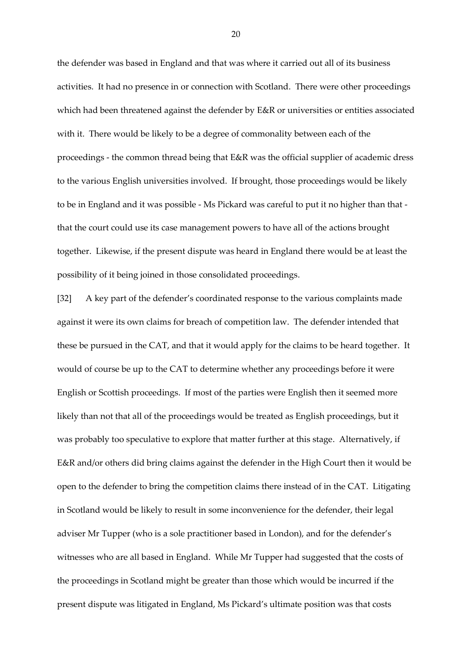the defender was based in England and that was where it carried out all of its business activities. It had no presence in or connection with Scotland. There were other proceedings which had been threatened against the defender by E&R or universities or entities associated with it. There would be likely to be a degree of commonality between each of the proceedings - the common thread being that E&R was the official supplier of academic dress to the various English universities involved. If brought, those proceedings would be likely to be in England and it was possible - Ms Pickard was careful to put it no higher than that that the court could use its case management powers to have all of the actions brought together. Likewise, if the present dispute was heard in England there would be at least the possibility of it being joined in those consolidated proceedings.

[32] A key part of the defender's coordinated response to the various complaints made against it were its own claims for breach of competition law. The defender intended that these be pursued in the CAT, and that it would apply for the claims to be heard together. It would of course be up to the CAT to determine whether any proceedings before it were English or Scottish proceedings. If most of the parties were English then it seemed more likely than not that all of the proceedings would be treated as English proceedings, but it was probably too speculative to explore that matter further at this stage. Alternatively, if E&R and/or others did bring claims against the defender in the High Court then it would be open to the defender to bring the competition claims there instead of in the CAT. Litigating in Scotland would be likely to result in some inconvenience for the defender, their legal adviser Mr Tupper (who is a sole practitioner based in London), and for the defender's witnesses who are all based in England. While Mr Tupper had suggested that the costs of the proceedings in Scotland might be greater than those which would be incurred if the present dispute was litigated in England, Ms Pickard's ultimate position was that costs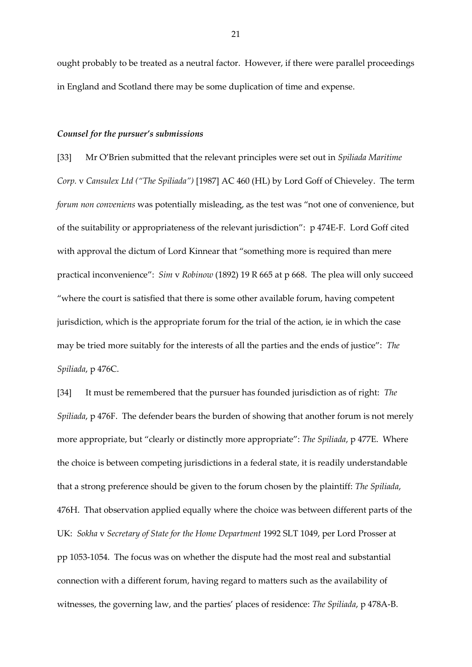ought probably to be treated as a neutral factor. However, if there were parallel proceedings in England and Scotland there may be some duplication of time and expense.

#### *Counsel for the pursuer's submissions*

[33] Mr O'Brien submitted that the relevant principles were set out in *Spiliada Maritime Corp.* v *Cansulex Ltd ("The Spiliada")* [1987] AC 460 (HL) by Lord Goff of Chieveley. The term *forum non conveniens* was potentially misleading, as the test was "not one of convenience, but of the suitability or appropriateness of the relevant jurisdiction": p 474E-F. Lord Goff cited with approval the dictum of Lord Kinnear that "something more is required than mere practical inconvenience": *Sim* v *Robinow* (1892) 19 R 665 at p 668. The plea will only succeed "where the court is satisfied that there is some other available forum, having competent jurisdiction, which is the appropriate forum for the trial of the action, ie in which the case may be tried more suitably for the interests of all the parties and the ends of justice": *The Spiliada*, p 476C.

[34] It must be remembered that the pursuer has founded jurisdiction as of right: *The Spiliada*, p 476F. The defender bears the burden of showing that another forum is not merely more appropriate, but "clearly or distinctly more appropriate": *The Spiliada*, p 477E. Where the choice is between competing jurisdictions in a federal state, it is readily understandable that a strong preference should be given to the forum chosen by the plaintiff: *The Spiliada*, 476H. That observation applied equally where the choice was between different parts of the UK: *Sokha* v *Secretary of State for the Home Department* 1992 SLT 1049, per Lord Prosser at pp 1053-1054. The focus was on whether the dispute had the most real and substantial connection with a different forum, having regard to matters such as the availability of witnesses, the governing law, and the parties' places of residence: *The Spiliada*, p 478A-B.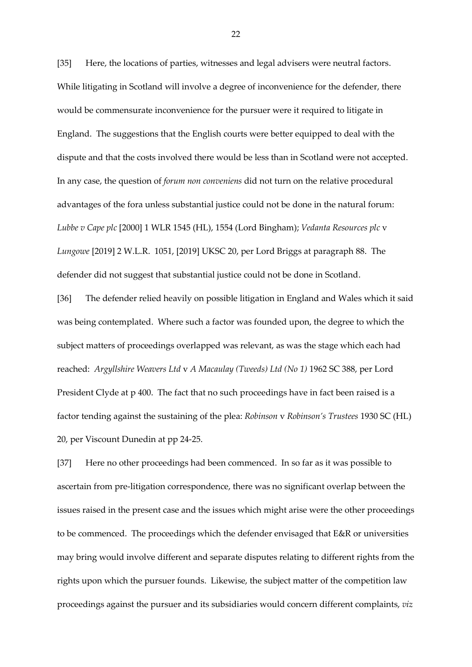[35] Here, the locations of parties, witnesses and legal advisers were neutral factors. While litigating in Scotland will involve a degree of inconvenience for the defender, there would be commensurate inconvenience for the pursuer were it required to litigate in England. The suggestions that the English courts were better equipped to deal with the dispute and that the costs involved there would be less than in Scotland were not accepted. In any case, the question of *forum non conveniens* did not turn on the relative procedural advantages of the fora unless substantial justice could not be done in the natural forum: *Lubbe v Cape plc* [2000] 1 WLR 1545 (HL), 1554 (Lord Bingham); *Vedanta Resources plc* v *Lungowe* [2019] 2 W.L.R. 1051, [2019] UKSC 20, per Lord Briggs at paragraph 88. The defender did not suggest that substantial justice could not be done in Scotland.

[36] The defender relied heavily on possible litigation in England and Wales which it said was being contemplated. Where such a factor was founded upon, the degree to which the subject matters of proceedings overlapped was relevant, as was the stage which each had reached: *Argyllshire Weavers Ltd* v *A Macaulay (Tweeds) Ltd (No 1)* 1962 SC 388, per Lord President Clyde at p 400. The fact that no such proceedings have in fact been raised is a factor tending against the sustaining of the plea: *Robinson* v *Robinson's Trustees* 1930 SC (HL) 20, per Viscount Dunedin at pp 24-25.

[37] Here no other proceedings had been commenced. In so far as it was possible to ascertain from pre-litigation correspondence, there was no significant overlap between the issues raised in the present case and the issues which might arise were the other proceedings to be commenced. The proceedings which the defender envisaged that E&R or universities may bring would involve different and separate disputes relating to different rights from the rights upon which the pursuer founds. Likewise, the subject matter of the competition law proceedings against the pursuer and its subsidiaries would concern different complaints, *viz*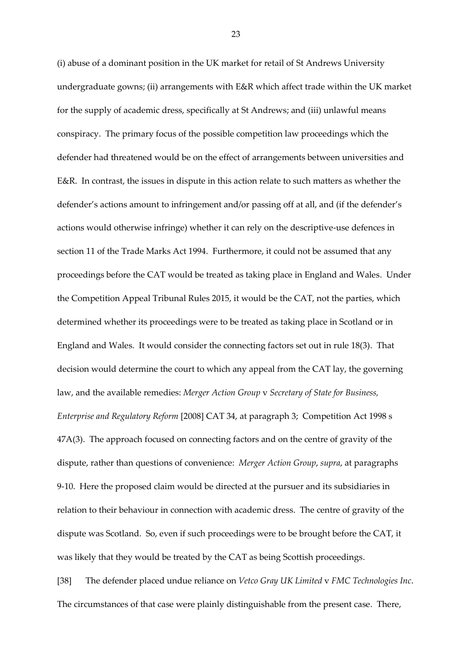(i) abuse of a dominant position in the UK market for retail of St Andrews University undergraduate gowns; (ii) arrangements with E&R which affect trade within the UK market for the supply of academic dress, specifically at St Andrews; and (iii) unlawful means conspiracy. The primary focus of the possible competition law proceedings which the defender had threatened would be on the effect of arrangements between universities and E&R. In contrast, the issues in dispute in this action relate to such matters as whether the defender's actions amount to infringement and/or passing off at all, and (if the defender's actions would otherwise infringe) whether it can rely on the descriptive-use defences in section 11 of the Trade Marks Act 1994. Furthermore, it could not be assumed that any proceedings before the CAT would be treated as taking place in England and Wales. Under the Competition Appeal Tribunal Rules 2015, it would be the CAT, not the parties, which determined whether its proceedings were to be treated as taking place in Scotland or in England and Wales. It would consider the connecting factors set out in rule 18(3). That decision would determine the court to which any appeal from the CAT lay, the governing law, and the available remedies: *Merger Action Group* v *Secretary of State for Business, Enterprise and Regulatory Reform* [2008] CAT 34, at paragraph 3; Competition Act 1998 s 47A(3). The approach focused on connecting factors and on the centre of gravity of the dispute, rather than questions of convenience: *Merger Action Group*, *supra*, at paragraphs 9-10. Here the proposed claim would be directed at the pursuer and its subsidiaries in relation to their behaviour in connection with academic dress. The centre of gravity of the dispute was Scotland. So, even if such proceedings were to be brought before the CAT, it was likely that they would be treated by the CAT as being Scottish proceedings. [38] The defender placed undue reliance on *Vetco Gray UK Limited* v *FMC Technologies Inc*.

The circumstances of that case were plainly distinguishable from the present case. There,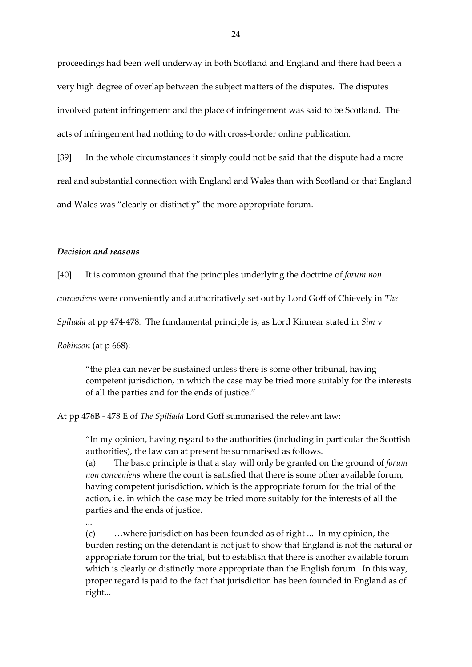proceedings had been well underway in both Scotland and England and there had been a very high degree of overlap between the subject matters of the disputes. The disputes involved patent infringement and the place of infringement was said to be Scotland. The acts of infringement had nothing to do with cross-border online publication.

[39] In the whole circumstances it simply could not be said that the dispute had a more real and substantial connection with England and Wales than with Scotland or that England and Wales was "clearly or distinctly" the more appropriate forum.

#### *Decision and reasons*

[40] It is common ground that the principles underlying the doctrine of *forum non* 

*conveniens* were conveniently and authoritatively set out by Lord Goff of Chievely in *The*

*Spiliada* at pp 474-478*.* The fundamental principle is, as Lord Kinnear stated in *Sim* v

*Robinson* (at p 668):

"the plea can never be sustained unless there is some other tribunal, having competent jurisdiction, in which the case may be tried more suitably for the interests of all the parties and for the ends of justice."

At pp 476B - 478 E of *The Spiliada* Lord Goff summarised the relevant law:

"In my opinion, having regard to the authorities (including in particular the Scottish authorities), the law can at present be summarised as follows.

(a) The basic principle is that a stay will only be granted on the ground of *forum non conveniens* where the court is satisfied that there is some other available forum, having competent jurisdiction, which is the appropriate forum for the trial of the action, i.e. in which the case may be tried more suitably for the interests of all the parties and the ends of justice.

...

(c) …where jurisdiction has been founded as of right ... In my opinion, the burden resting on the defendant is not just to show that England is not the natural or appropriate forum for the trial, but to establish that there is another available forum which is clearly or distinctly more appropriate than the English forum. In this way, proper regard is paid to the fact that jurisdiction has been founded in England as of right...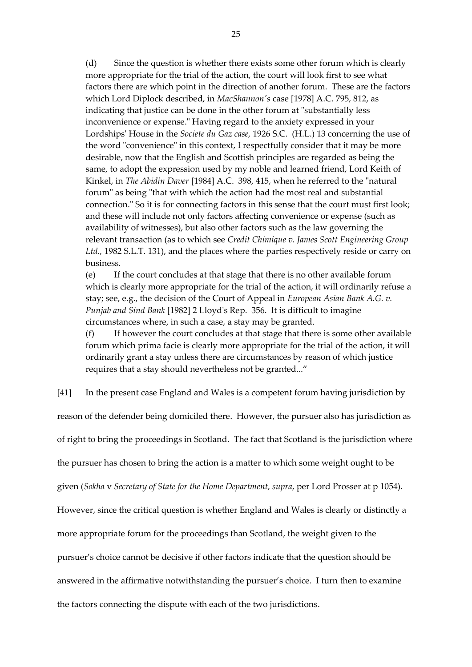(d) Since the question is whether there exists some other forum which is clearly more appropriate for the trial of the action, the court will look first to see what factors there are which point in the direction of another forum. These are the factors which Lord Diplock described, in *MacShannon's* case [1978] A.C. 795, 812, as indicating that justice can be done in the other forum at "substantially less inconvenience or expense." Having regard to the anxiety expressed in your Lordships' House in the *Societe du Gaz case,* 1926 S.C. (H.L.) 13 concerning the use of the word "convenience" in this context, I respectfully consider that it may be more desirable, now that the English and Scottish principles are regarded as being the same, to adopt the expression used by my noble and learned friend, Lord Keith of Kinkel, in *The Abidin Daver* [1984] A.C. 398, 415, when he referred to the "natural forum" as being "that with which the action had the most real and substantial connection." So it is for connecting factors in this sense that the court must first look; and these will include not only factors affecting convenience or expense (such as availability of witnesses), but also other factors such as the law governing the relevant transaction (as to which see *Credit Chimique v. James Scott Engineering Group Ltd.,* 1982 S.L.T. 131), and the places where the parties respectively reside or carry on business.

(e) If the court concludes at that stage that there is no other available forum which is clearly more appropriate for the trial of the action, it will ordinarily refuse a stay; see, e.g., the decision of the Court of Appeal in *European Asian Bank A.G. v. Punjab and Sind Bank* [1982] 2 Lloyd's Rep. 356. It is difficult to imagine circumstances where, in such a case, a stay may be granted.

(f) If however the court concludes at that stage that there is some other available forum which prima facie is clearly more appropriate for the trial of the action, it will ordinarily grant a stay unless there are circumstances by reason of which justice requires that a stay should nevertheless not be granted..."

[41] In the present case England and Wales is a competent forum having jurisdiction by

reason of the defender being domiciled there. However, the pursuer also has jurisdiction as of right to bring the proceedings in Scotland. The fact that Scotland is the jurisdiction where the pursuer has chosen to bring the action is a matter to which some weight ought to be given (*Sokha* v *Secretary of State for the Home Department, supra*, per Lord Prosser at p 1054). However, since the critical question is whether England and Wales is clearly or distinctly a more appropriate forum for the proceedings than Scotland, the weight given to the pursuer's choice cannot be decisive if other factors indicate that the question should be answered in the affirmative notwithstanding the pursuer's choice. I turn then to examine the factors connecting the dispute with each of the two jurisdictions.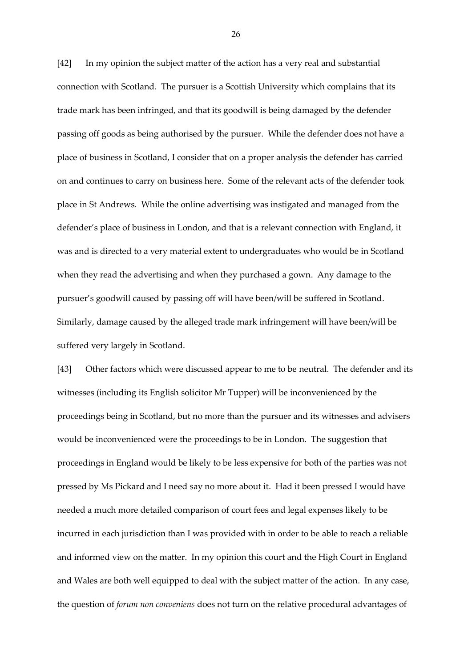[42] In my opinion the subject matter of the action has a very real and substantial connection with Scotland. The pursuer is a Scottish University which complains that its trade mark has been infringed, and that its goodwill is being damaged by the defender passing off goods as being authorised by the pursuer. While the defender does not have a place of business in Scotland, I consider that on a proper analysis the defender has carried on and continues to carry on business here. Some of the relevant acts of the defender took place in St Andrews. While the online advertising was instigated and managed from the defender's place of business in London, and that is a relevant connection with England, it was and is directed to a very material extent to undergraduates who would be in Scotland when they read the advertising and when they purchased a gown. Any damage to the pursuer's goodwill caused by passing off will have been/will be suffered in Scotland. Similarly, damage caused by the alleged trade mark infringement will have been/will be suffered very largely in Scotland.

[43] Other factors which were discussed appear to me to be neutral. The defender and its witnesses (including its English solicitor Mr Tupper) will be inconvenienced by the proceedings being in Scotland, but no more than the pursuer and its witnesses and advisers would be inconvenienced were the proceedings to be in London. The suggestion that proceedings in England would be likely to be less expensive for both of the parties was not pressed by Ms Pickard and I need say no more about it. Had it been pressed I would have needed a much more detailed comparison of court fees and legal expenses likely to be incurred in each jurisdiction than I was provided with in order to be able to reach a reliable and informed view on the matter. In my opinion this court and the High Court in England and Wales are both well equipped to deal with the subject matter of the action. In any case, the question of *forum non conveniens* does not turn on the relative procedural advantages of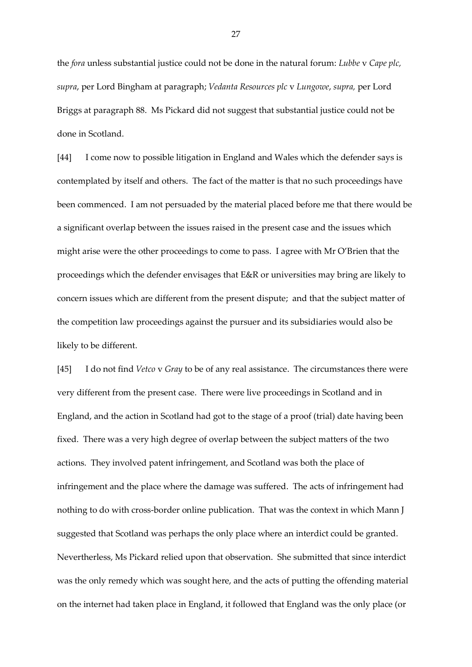the *fora* unless substantial justice could not be done in the natural forum: *Lubbe* v *Cape plc, supra*, per Lord Bingham at paragraph; *Vedanta Resources plc* v *Lungowe*, *supra,* per Lord Briggs at paragraph 88. Ms Pickard did not suggest that substantial justice could not be done in Scotland.

[44] I come now to possible litigation in England and Wales which the defender says is contemplated by itself and others. The fact of the matter is that no such proceedings have been commenced. I am not persuaded by the material placed before me that there would be a significant overlap between the issues raised in the present case and the issues which might arise were the other proceedings to come to pass. I agree with Mr O'Brien that the proceedings which the defender envisages that E&R or universities may bring are likely to concern issues which are different from the present dispute; and that the subject matter of the competition law proceedings against the pursuer and its subsidiaries would also be likely to be different.

[45] I do not find *Vetco* v *Gray* to be of any real assistance. The circumstances there were very different from the present case. There were live proceedings in Scotland and in England, and the action in Scotland had got to the stage of a proof (trial) date having been fixed. There was a very high degree of overlap between the subject matters of the two actions. They involved patent infringement, and Scotland was both the place of infringement and the place where the damage was suffered. The acts of infringement had nothing to do with cross-border online publication. That was the context in which Mann J suggested that Scotland was perhaps the only place where an interdict could be granted. Nevertherless, Ms Pickard relied upon that observation. She submitted that since interdict was the only remedy which was sought here, and the acts of putting the offending material on the internet had taken place in England, it followed that England was the only place (or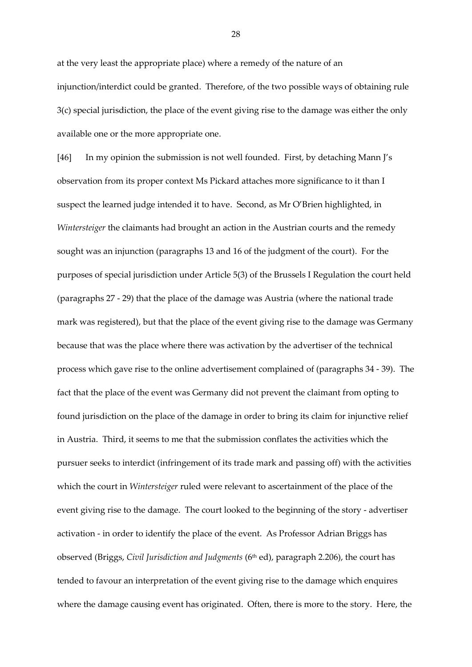at the very least the appropriate place) where a remedy of the nature of an injunction/interdict could be granted. Therefore, of the two possible ways of obtaining rule 3(c) special jurisdiction, the place of the event giving rise to the damage was either the only available one or the more appropriate one.

[46] In my opinion the submission is not well founded. First, by detaching Mann J's observation from its proper context Ms Pickard attaches more significance to it than I suspect the learned judge intended it to have. Second, as Mr O'Brien highlighted, in *Wintersteiger* the claimants had brought an action in the Austrian courts and the remedy sought was an injunction (paragraphs 13 and 16 of the judgment of the court). For the purposes of special jurisdiction under Article 5(3) of the Brussels I Regulation the court held (paragraphs 27 - 29) that the place of the damage was Austria (where the national trade mark was registered), but that the place of the event giving rise to the damage was Germany because that was the place where there was activation by the advertiser of the technical process which gave rise to the online advertisement complained of (paragraphs 34 - 39). The fact that the place of the event was Germany did not prevent the claimant from opting to found jurisdiction on the place of the damage in order to bring its claim for injunctive relief in Austria. Third, it seems to me that the submission conflates the activities which the pursuer seeks to interdict (infringement of its trade mark and passing off) with the activities which the court in *Wintersteiger* ruled were relevant to ascertainment of the place of the event giving rise to the damage. The court looked to the beginning of the story - advertiser activation - in order to identify the place of the event. As Professor Adrian Briggs has observed (Briggs, Civil Jurisdiction and Judgments (6<sup>th</sup> ed), paragraph 2.206), the court has tended to favour an interpretation of the event giving rise to the damage which enquires where the damage causing event has originated. Often, there is more to the story. Here, the